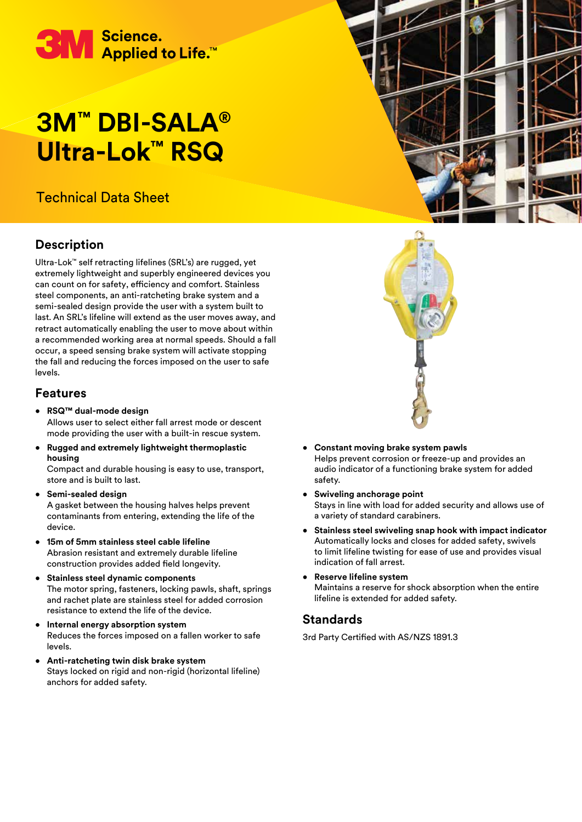

# **3M™ DBI-SALA® Ultra-Lok™ RSQ**

## Technical Data Sheet

## **Description**

Ultra-Lok™ self retracting lifelines (SRL's) are rugged, yet extremely lightweight and superbly engineered devices you can count on for safety, efficiency and comfort. Stainless steel components, an anti-ratcheting brake system and a semi-sealed design provide the user with a system built to last. An SRL's lifeline will extend as the user moves away, and retract automatically enabling the user to move about within a recommended working area at normal speeds. Should a fall occur, a speed sensing brake system will activate stopping the fall and reducing the forces imposed on the user to safe levels.

#### **Features**

- **RSQ™ dual-mode design**  Allows user to select either fall arrest mode or descent mode providing the user with a built-in rescue system.
- **Rugged and extremely lightweight thermoplastic housing**

Compact and durable housing is easy to use, transport, store and is built to last.

- **Semi-sealed design**  A gasket between the housing halves helps prevent contaminants from entering, extending the life of the device.
- **15m of 5mm stainless steel cable lifeline**  Abrasion resistant and extremely durable lifeline construction provides added field longevity.
- **Stainless steel dynamic components**  The motor spring, fasteners, locking pawls, shaft, springs and rachet plate are stainless steel for added corrosion resistance to extend the life of the device.
- **Internal energy absorption system**  Reduces the forces imposed on a fallen worker to safe levels.
- **Anti-ratcheting twin disk brake system** Stays locked on rigid and non-rigid (horizontal lifeline) anchors for added safety.





- **Constant moving brake system pawls**  Helps prevent corrosion or freeze-up and provides an audio indicator of a functioning brake system for added safety.
- **Swiveling anchorage point**  Stays in line with load for added security and allows use of a variety of standard carabiners.
- **Stainless steel swiveling snap hook with impact indicator**  Automatically locks and closes for added safety, swivels to limit lifeline twisting for ease of use and provides visual indication of fall arrest.
- **Reserve lifeline system**  Maintains a reserve for shock absorption when the entire lifeline is extended for added safety.

#### **Standards**

3rd Party Certified with AS/NZS 1891.3